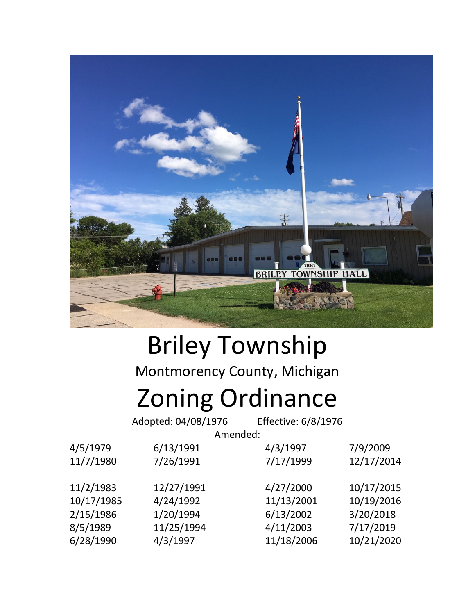

# Briley Township Montmorency County, Michigan Zoning Ordinance

Adopted: 04/08/1976 Effective: 6/8/1976

Amended:

| 4/5/1979   | 6/13/1991  | 4/3/1997   | 7/9/2009   |
|------------|------------|------------|------------|
| 11/7/1980  | 7/26/1991  | 7/17/1999  | 12/17/2014 |
|            |            |            |            |
| 11/2/1983  | 12/27/1991 | 4/27/2000  | 10/17/2015 |
| 10/17/1985 | 4/24/1992  | 11/13/2001 | 10/19/2016 |
| 2/15/1986  | 1/20/1994  | 6/13/2002  | 3/20/2018  |
| 8/5/1989   | 11/25/1994 | 4/11/2003  | 7/17/2019  |
| 6/28/1990  | 4/3/1997   | 11/18/2006 | 10/21/2020 |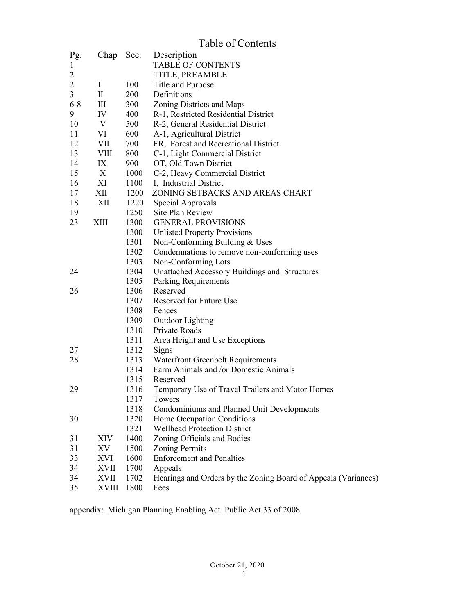|                |              |              | Table of Contents                                                 |
|----------------|--------------|--------------|-------------------------------------------------------------------|
| Pg.            |              | Chap Sec.    | Description                                                       |
| 1              |              |              | <b>TABLE OF CONTENTS</b>                                          |
| 2              |              |              | TITLE, PREAMBLE                                                   |
| $\overline{2}$ | $\bf{I}$     | 100          | Title and Purpose                                                 |
| 3              | $\rm II$     | 200          | Definitions                                                       |
| $6 - 8$        | Ш            | 300          | Zoning Districts and Maps                                         |
| 9              | IV           | 400          | R-1, Restricted Residential District                              |
| 10             | V            | 500          | R-2, General Residential District                                 |
| 11             | VI           | 600          | A-1, Agricultural District                                        |
| 12             | VII          | 700          | FR, Forest and Recreational District                              |
| 13             | VIII         | 800          | C-1, Light Commercial District                                    |
| 14             | IX           | 900          | OT, Old Town District                                             |
| 15             | X            | 1000         | C-2, Heavy Commercial District                                    |
| 16             | XI           | 1100         | I, Industrial District                                            |
| 17             | XII          | 1200         | ZONING SETBACKS AND AREAS CHART                                   |
| 18             | XII          | 1220         | Special Approvals                                                 |
| 19             |              | 1250         | Site Plan Review                                                  |
| 23             | XIII         | 1300         | <b>GENERAL PROVISIONS</b>                                         |
|                |              | 1300         | <b>Unlisted Property Provisions</b>                               |
|                |              | 1301         | Non-Conforming Building & Uses                                    |
|                |              | 1302         | Condemnations to remove non-conforming uses                       |
|                |              | 1303         | Non-Conforming Lots                                               |
| 24             |              | 1304         | Unattached Accessory Buildings and Structures                     |
|                |              | 1305         | Parking Requirements                                              |
| 26             |              | 1306         | Reserved                                                          |
|                |              | 1307         | Reserved for Future Use                                           |
|                |              | 1308         | Fences                                                            |
|                |              | 1309         | <b>Outdoor Lighting</b>                                           |
|                |              | 1310         | Private Roads                                                     |
|                |              | 1311         | Area Height and Use Exceptions                                    |
| 27             |              | 1312         | Signs                                                             |
| 28             |              | 1313         | <b>Waterfront Greenbelt Requirements</b>                          |
|                |              | 1314         | Farm Animals and /or Domestic Animals                             |
|                |              | 1315         | Reserved                                                          |
| 29             |              | 1316         | Temporary Use of Travel Trailers and Motor Homes<br>Towers        |
|                |              | 1317<br>1318 | Condominiums and Planned Unit Developments                        |
| 30             |              | 1320         |                                                                   |
|                |              | 1321         | Home Occupation Conditions<br><b>Wellhead Protection District</b> |
| 31             | XIV          | 1400         | Zoning Officials and Bodies                                       |
| 31             | XV           | 1500         | <b>Zoning Permits</b>                                             |
| 33             | XVI          | 1600         | <b>Enforcement and Penalties</b>                                  |
| 34             | <b>XVII</b>  | 1700         | Appeals                                                           |
| 34             | XVII         | 1702         | Hearings and Orders by the Zoning Board of Appeals (Variances)    |
| 35             | <b>XVIII</b> | 1800         | Fees                                                              |

appendix: Michigan Planning Enabling Act Public Act 33 of 2008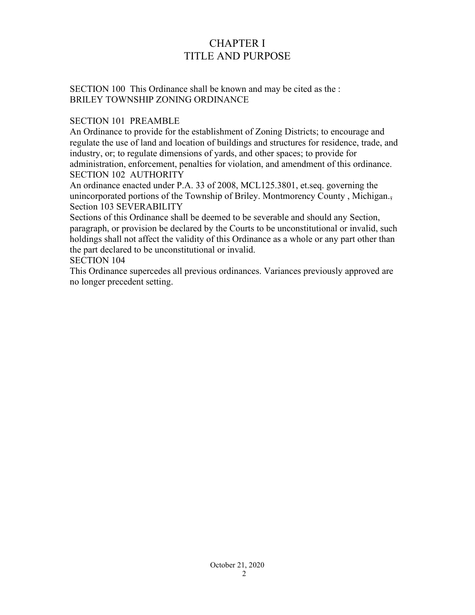# CHAPTER I TITLE AND PURPOSE

SECTION 100 This Ordinance shall be known and may be cited as the : BRILEY TOWNSHIP ZONING ORDINANCE

## SECTION 101 PREAMBLE

An Ordinance to provide for the establishment of Zoning Districts; to encourage and regulate the use of land and location of buildings and structures for residence, trade, and industry, or; to regulate dimensions of yards, and other spaces; to provide for administration, enforcement, penalties for violation, and amendment of this ordinance. SECTION 102 AUTHORITY

An ordinance enacted under P.A. 33 of 2008, MCL125.3801, et.seq. governing the unincorporated portions of the Township of Briley. Montmorency County , Michigan., Section 103 SEVERABILITY

Sections of this Ordinance shall be deemed to be severable and should any Section, paragraph, or provision be declared by the Courts to be unconstitutional or invalid, such holdings shall not affect the validity of this Ordinance as a whole or any part other than the part declared to be unconstitutional or invalid.

SECTION 104

This Ordinance supercedes all previous ordinances. Variances previously approved are no longer precedent setting.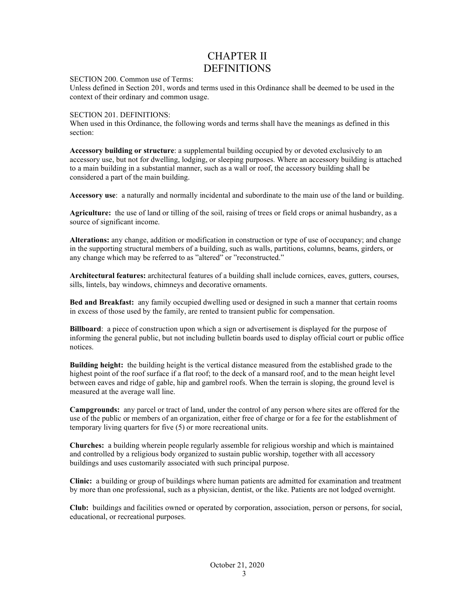# CHAPTER II DEFINITIONS

#### SECTION 200. Common use of Terms:

Unless defined in Section 201, words and terms used in this Ordinance shall be deemed to be used in the context of their ordinary and common usage.

#### SECTION 201. DEFINITIONS:

When used in this Ordinance, the following words and terms shall have the meanings as defined in this section:

**Accessory building or structure**: a supplemental building occupied by or devoted exclusively to an accessory use, but not for dwelling, lodging, or sleeping purposes. Where an accessory building is attached to a main building in a substantial manner, such as a wall or roof, the accessory building shall be considered a part of the main building.

**Accessory use**: a naturally and normally incidental and subordinate to the main use of the land or building.

**Agriculture:** the use of land or tilling of the soil, raising of trees or field crops or animal husbandry, as a source of significant income.

**Alterations:** any change, addition or modification in construction or type of use of occupancy; and change in the supporting structural members of a building, such as walls, partitions, columns, beams, girders, or any change which may be referred to as "altered" or "reconstructed."

**Architectural features:** architectural features of a building shall include cornices, eaves, gutters, courses, sills, lintels, bay windows, chimneys and decorative ornaments.

**Bed and Breakfast:** any family occupied dwelling used or designed in such a manner that certain rooms in excess of those used by the family, are rented to transient public for compensation.

**Billboard**: a piece of construction upon which a sign or advertisement is displayed for the purpose of informing the general public, but not including bulletin boards used to display official court or public office notices.

**Building height:** the building height is the vertical distance measured from the established grade to the highest point of the roof surface if a flat roof; to the deck of a mansard roof, and to the mean height level between eaves and ridge of gable, hip and gambrel roofs. When the terrain is sloping, the ground level is measured at the average wall line.

**Campgrounds:** any parcel or tract of land, under the control of any person where sites are offered for the use of the public or members of an organization, either free of charge or for a fee for the establishment of temporary living quarters for five (5) or more recreational units.

**Churches:** a building wherein people regularly assemble for religious worship and which is maintained and controlled by a religious body organized to sustain public worship, together with all accessory buildings and uses customarily associated with such principal purpose.

**Clinic:** a building or group of buildings where human patients are admitted for examination and treatment by more than one professional, such as a physician, dentist, or the like. Patients are not lodged overnight.

**Club:** buildings and facilities owned or operated by corporation, association, person or persons, for social, educational, or recreational purposes.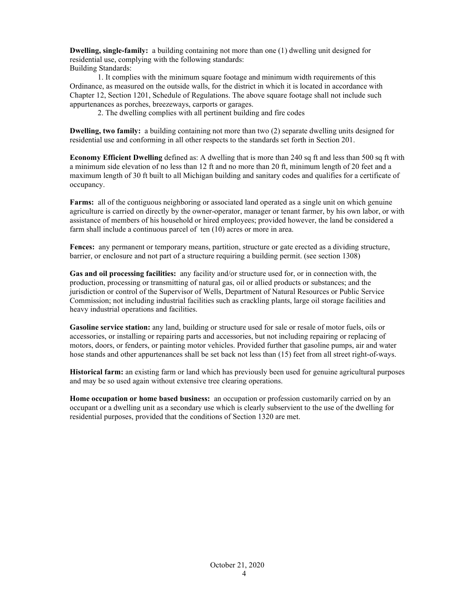**Dwelling, single-family:** a building containing not more than one (1) dwelling unit designed for residential use, complying with the following standards: Building Standards:

1. It complies with the minimum square footage and minimum width requirements of this Ordinance, as measured on the outside walls, for the district in which it is located in accordance with Chapter 12, Section 1201, Schedule of Regulations. The above square footage shall not include such appurtenances as porches, breezeways, carports or garages.

2. The dwelling complies with all pertinent building and fire codes

**Dwelling, two family:** a building containing not more than two (2) separate dwelling units designed for residential use and conforming in all other respects to the standards set forth in Section 201.

**Economy Efficient Dwelling** defined as: A dwelling that is more than 240 sq ft and less than 500 sq ft with a minimum side elevation of no less than 12 ft and no more than 20 ft, minimum length of 20 feet and a maximum length of 30 ft built to all Michigan building and sanitary codes and qualifies for a certificate of occupancy.

**Farms:** all of the contiguous neighboring or associated land operated as a single unit on which genuine agriculture is carried on directly by the owner-operator, manager or tenant farmer, by his own labor, or with assistance of members of his household or hired employees; provided however, the land be considered a farm shall include a continuous parcel of ten (10) acres or more in area.

Fences: any permanent or temporary means, partition, structure or gate erected as a dividing structure, barrier, or enclosure and not part of a structure requiring a building permit. (see section 1308)

**Gas and oil processing facilities:** any facility and/or structure used for, or in connection with, the production, processing or transmitting of natural gas, oil or allied products or substances; and the jurisdiction or control of the Supervisor of Wells, Department of Natural Resources or Public Service Commission; not including industrial facilities such as crackling plants, large oil storage facilities and heavy industrial operations and facilities.

**Gasoline service station:** any land, building or structure used for sale or resale of motor fuels, oils or accessories, or installing or repairing parts and accessories, but not including repairing or replacing of motors, doors, or fenders, or painting motor vehicles. Provided further that gasoline pumps, air and water hose stands and other appurtenances shall be set back not less than (15) feet from all street right-of-ways.

**Historical farm:** an existing farm or land which has previously been used for genuine agricultural purposes and may be so used again without extensive tree clearing operations.

**Home occupation or home based business:** an occupation or profession customarily carried on by an occupant or a dwelling unit as a secondary use which is clearly subservient to the use of the dwelling for residential purposes, provided that the conditions of Section 1320 are met.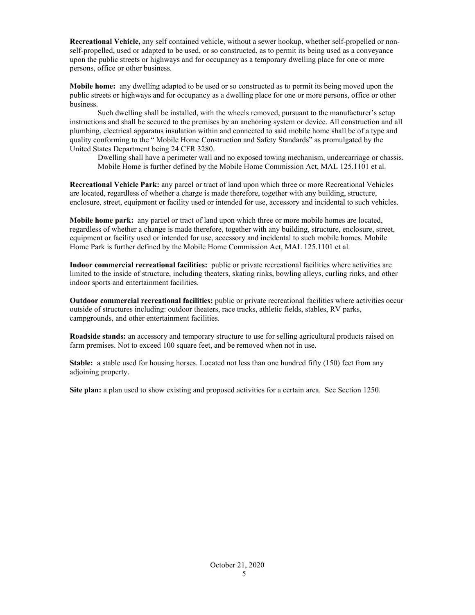**Recreational Vehicle,** any self contained vehicle, without a sewer hookup, whether self-propelled or nonself-propelled, used or adapted to be used, or so constructed, as to permit its being used as a conveyance upon the public streets or highways and for occupancy as a temporary dwelling place for one or more persons, office or other business.

**Mobile home:** any dwelling adapted to be used or so constructed as to permit its being moved upon the public streets or highways and for occupancy as a dwelling place for one or more persons, office or other business.

Such dwelling shall be installed, with the wheels removed, pursuant to the manufacturer's setup instructions and shall be secured to the premises by an anchoring system or device. All construction and all plumbing, electrical apparatus insulation within and connected to said mobile home shall be of a type and quality conforming to the " Mobile Home Construction and Safety Standards" as promulgated by the United States Department being 24 CFR 3280.

Dwelling shall have a perimeter wall and no exposed towing mechanism, undercarriage or chassis. Mobile Home is further defined by the Mobile Home Commission Act, MAL 125.1101 et al.

**Recreational Vehicle Park:** any parcel or tract of land upon which three or more Recreational Vehicles are located, regardless of whether a charge is made therefore, together with any building, structure, enclosure, street, equipment or facility used or intended for use, accessory and incidental to such vehicles.

**Mobile home park:** any parcel or tract of land upon which three or more mobile homes are located, regardless of whether a change is made therefore, together with any building, structure, enclosure, street, equipment or facility used or intended for use, accessory and incidental to such mobile homes. Mobile Home Park is further defined by the Mobile Home Commission Act, MAL 125.1101 et al.

**Indoor commercial recreational facilities:** public or private recreational facilities where activities are limited to the inside of structure, including theaters, skating rinks, bowling alleys, curling rinks, and other indoor sports and entertainment facilities.

**Outdoor commercial recreational facilities:** public or private recreational facilities where activities occur outside of structures including: outdoor theaters, race tracks, athletic fields, stables, RV parks, campgrounds, and other entertainment facilities.

**Roadside stands:** an accessory and temporary structure to use for selling agricultural products raised on farm premises. Not to exceed 100 square feet, and be removed when not in use.

**Stable:** a stable used for housing horses. Located not less than one hundred fifty (150) feet from any adjoining property.

**Site plan:** a plan used to show existing and proposed activities for a certain area. See Section 1250.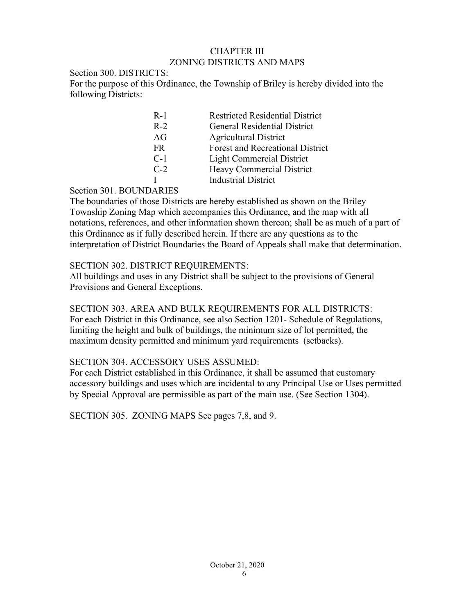### CHAPTER III ZONING DISTRICTS AND MAPS

### Section 300. DISTRICTS: For the purpose of this Ordinance, the Township of Briley is hereby divided into the following Districts:

| $R-1$ | <b>Restricted Residential District</b>  |
|-------|-----------------------------------------|
| $R-2$ | <b>General Residential District</b>     |
| AG    | <b>Agricultural District</b>            |
| FR.   | <b>Forest and Recreational District</b> |
| $C-1$ | <b>Light Commercial District</b>        |
| $C-2$ | Heavy Commercial District               |
|       | <b>Industrial District</b>              |
|       |                                         |

## Section 301. BOUNDARIES

The boundaries of those Districts are hereby established as shown on the Briley Township Zoning Map which accompanies this Ordinance, and the map with all notations, references, and other information shown thereon; shall be as much of a part of this Ordinance as if fully described herein. If there are any questions as to the interpretation of District Boundaries the Board of Appeals shall make that determination.

# SECTION 302. DISTRICT REQUIREMENTS:

All buildings and uses in any District shall be subject to the provisions of General Provisions and General Exceptions.

# SECTION 303. AREA AND BULK REQUIREMENTS FOR ALL DISTRICTS:

For each District in this Ordinance, see also Section 1201- Schedule of Regulations, limiting the height and bulk of buildings, the minimum size of lot permitted, the maximum density permitted and minimum yard requirements (setbacks).

# SECTION 304. ACCESSORY USES ASSUMED:

For each District established in this Ordinance, it shall be assumed that customary accessory buildings and uses which are incidental to any Principal Use or Uses permitted by Special Approval are permissible as part of the main use. (See Section 1304).

SECTION 305. ZONING MAPS See pages 7,8, and 9.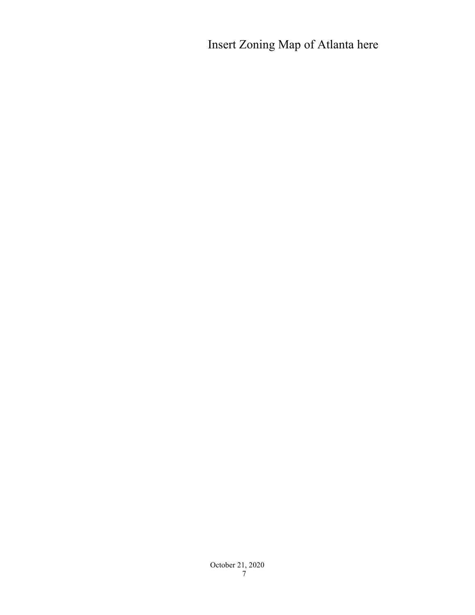Insert Zoning Map of Atlanta here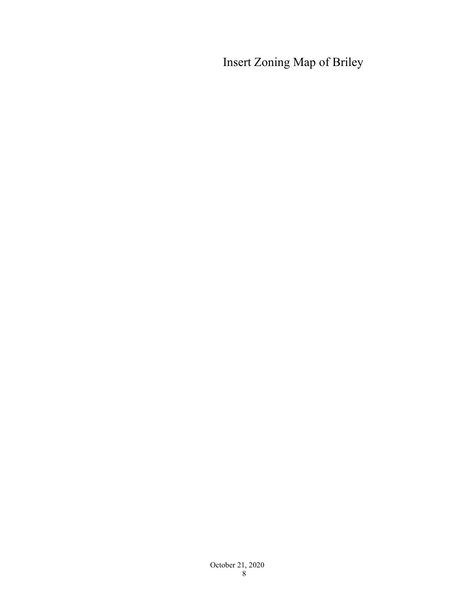Insert Zoning Map of Briley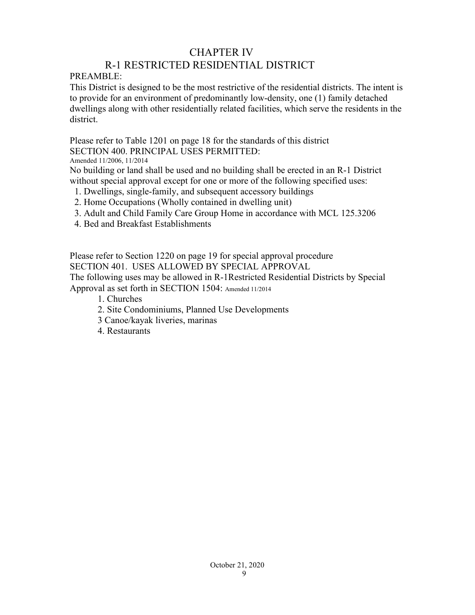# CHAPTER IV

# R-1 RESTRICTED RESIDENTIAL DISTRICT

PREAMBLE:

This District is designed to be the most restrictive of the residential districts. The intent is to provide for an environment of predominantly low-density, one (1) family detached dwellings along with other residentially related facilities, which serve the residents in the district.

Please refer to Table 1201 on page 18 for the standards of this district SECTION 400. PRINCIPAL USES PERMITTED:

Amended 11/2006, 11/2014

No building or land shall be used and no building shall be erected in an R-1 District without special approval except for one or more of the following specified uses:

- 1. Dwellings, single-family, and subsequent accessory buildings
- 2. Home Occupations (Wholly contained in dwelling unit)
- 3. Adult and Child Family Care Group Home in accordance with MCL 125.3206
- 4. Bed and Breakfast Establishments

Please refer to Section 1220 on page 19 for special approval procedure SECTION 401. USES ALLOWED BY SPECIAL APPROVAL The following uses may be allowed in R-1Restricted Residential Districts by Special Approval as set forth in SECTION 1504: Amended 11/2014

- 1. Churches
- 2. Site Condominiums, Planned Use Developments
- 3 Canoe/kayak liveries, marinas
- 4. Restaurants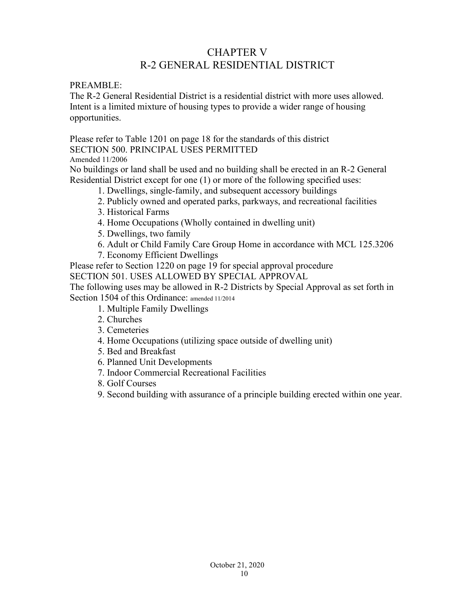# CHAPTER V R-2 GENERAL RESIDENTIAL DISTRICT

PREAMBLE:

The R-2 General Residential District is a residential district with more uses allowed. Intent is a limited mixture of housing types to provide a wider range of housing opportunities.

Please refer to Table 1201 on page 18 for the standards of this district SECTION 500. PRINCIPAL USES PERMITTED

Amended 11/2006

No buildings or land shall be used and no building shall be erected in an R-2 General Residential District except for one (1) or more of the following specified uses:

- 1. Dwellings, single-family, and subsequent accessory buildings
- 2. Publicly owned and operated parks, parkways, and recreational facilities
- 3. Historical Farms
- 4. Home Occupations (Wholly contained in dwelling unit)
- 5. Dwellings, two family
- 6. Adult or Child Family Care Group Home in accordance with MCL 125.3206
- 7. Economy Efficient Dwellings

Please refer to Section 1220 on page 19 for special approval procedure SECTION 501. USES ALLOWED BY SPECIAL APPROVAL

The following uses may be allowed in R-2 Districts by Special Approval as set forth in Section 1504 of this Ordinance: amended 11/2014

- 1. Multiple Family Dwellings
- 2. Churches
- 3. Cemeteries
- 4. Home Occupations (utilizing space outside of dwelling unit)
- 5. Bed and Breakfast
- 6. Planned Unit Developments
- 7. Indoor Commercial Recreational Facilities
- 8. Golf Courses
- 9. Second building with assurance of a principle building erected within one year.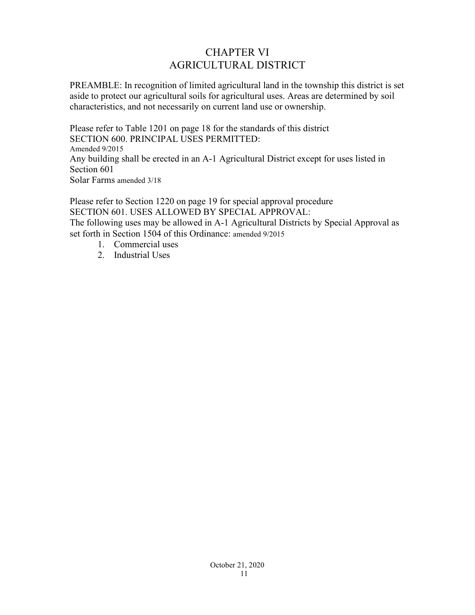# CHAPTER VI AGRICULTURAL DISTRICT

PREAMBLE: In recognition of limited agricultural land in the township this district is set aside to protect our agricultural soils for agricultural uses. Areas are determined by soil characteristics, and not necessarily on current land use or ownership.

Please refer to Table 1201 on page 18 for the standards of this district SECTION 600. PRINCIPAL USES PERMITTED: Amended 9/2015 Any building shall be erected in an A-1 Agricultural District except for uses listed in Section 601 Solar Farms amended 3/18

Please refer to Section 1220 on page 19 for special approval procedure SECTION 601. USES ALLOWED BY SPECIAL APPROVAL: The following uses may be allowed in A-1 Agricultural Districts by Special Approval as set forth in Section 1504 of this Ordinance: amended 9/2015

- 1. Commercial uses
- 2. Industrial Uses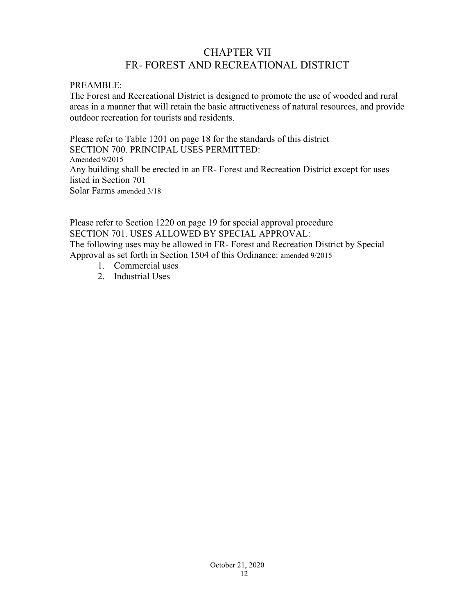# CHAPTER VII FR- FOREST AND RECREATIONAL DISTRICT

### PREAMBLE:

The Forest and Recreational District is designed to promote the use of wooded and rural areas in a manner that will retain the basic attractiveness of natural resources, and provide outdoor recreation for tourists and residents.

Please refer to Table 1201 on page 18 for the standards of this district SECTION 700. PRINCIPAL USES PERMITTED: Amended 9/2015 Any building shall be erected in an FR- Forest and Recreation District except for uses listed in Section 701 Solar Farms amended 3/18

Please refer to Section 1220 on page 19 for special approval procedure SECTION 701. USES ALLOWED BY SPECIAL APPROVAL: The following uses may be allowed in FR- Forest and Recreation District by Special Approval as set forth in Section 1504 of this Ordinance: amended 9/2015

- 1. Commercial uses
- 2. Industrial Uses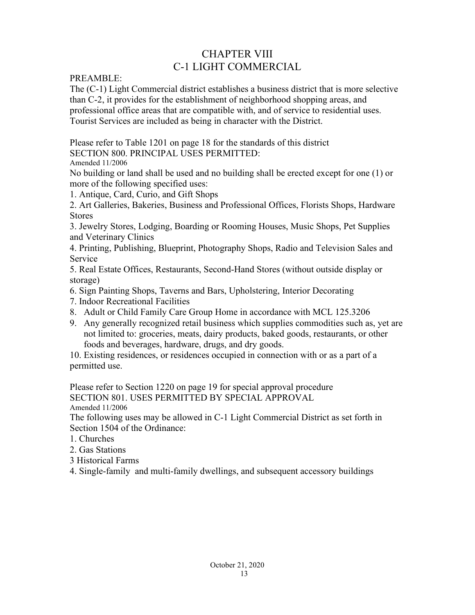# CHAPTER VIII C-1 LIGHT COMMERCIAL

PREAMBLE:

The (C-1) Light Commercial district establishes a business district that is more selective than C-2, it provides for the establishment of neighborhood shopping areas, and professional office areas that are compatible with, and of service to residential uses. Tourist Services are included as being in character with the District.

Please refer to Table 1201 on page 18 for the standards of this district SECTION 800. PRINCIPAL USES PERMITTED:

Amended 11/2006

No building or land shall be used and no building shall be erected except for one (1) or more of the following specified uses:

1. Antique, Card, Curio, and Gift Shops

2. Art Galleries, Bakeries, Business and Professional Offices, Florists Shops, Hardware Stores

3. Jewelry Stores, Lodging, Boarding or Rooming Houses, Music Shops, Pet Supplies and Veterinary Clinics

4. Printing, Publishing, Blueprint, Photography Shops, Radio and Television Sales and Service

5. Real Estate Offices, Restaurants, Second-Hand Stores (without outside display or storage)

- 6. Sign Painting Shops, Taverns and Bars, Upholstering, Interior Decorating
- 7. Indoor Recreational Facilities
- 8. Adult or Child Family Care Group Home in accordance with MCL 125.3206
- 9. Any generally recognized retail business which supplies commodities such as, yet are not limited to: groceries, meats, dairy products, baked goods, restaurants, or other foods and beverages, hardware, drugs, and dry goods.

10. Existing residences, or residences occupied in connection with or as a part of a permitted use.

Please refer to Section 1220 on page 19 for special approval procedure SECTION 801. USES PERMITTED BY SPECIAL APPROVAL Amended 11/2006

The following uses may be allowed in C-1 Light Commercial District as set forth in Section 1504 of the Ordinance:

- 1. Churches
- 2. Gas Stations
- 3 Historical Farms

4. Single-family and multi-family dwellings, and subsequent accessory buildings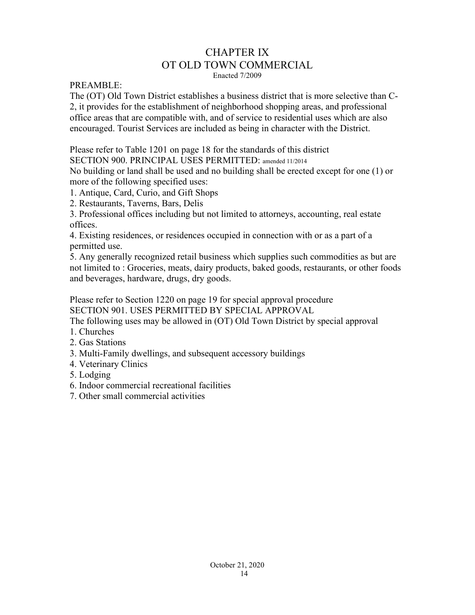# CHAPTER IX OT OLD TOWN COMMERCIAL

Enacted 7/2009

PREAMBLE:

The (OT) Old Town District establishes a business district that is more selective than C-2, it provides for the establishment of neighborhood shopping areas, and professional office areas that are compatible with, and of service to residential uses which are also encouraged. Tourist Services are included as being in character with the District.

Please refer to Table 1201 on page 18 for the standards of this district

SECTION 900. PRINCIPAL USES PERMITTED: amended 11/2014

No building or land shall be used and no building shall be erected except for one (1) or more of the following specified uses:

1. Antique, Card, Curio, and Gift Shops

2. Restaurants, Taverns, Bars, Delis

3. Professional offices including but not limited to attorneys, accounting, real estate offices.

4. Existing residences, or residences occupied in connection with or as a part of a permitted use.

5. Any generally recognized retail business which supplies such commodities as but are not limited to : Groceries, meats, dairy products, baked goods, restaurants, or other foods and beverages, hardware, drugs, dry goods.

Please refer to Section 1220 on page 19 for special approval procedure SECTION 901. USES PERMITTED BY SPECIAL APPROVAL

The following uses may be allowed in (OT) Old Town District by special approval

- 1. Churches
- 2. Gas Stations
- 3. Multi-Family dwellings, and subsequent accessory buildings
- 4. Veterinary Clinics
- 5. Lodging
- 6. Indoor commercial recreational facilities
- 7. Other small commercial activities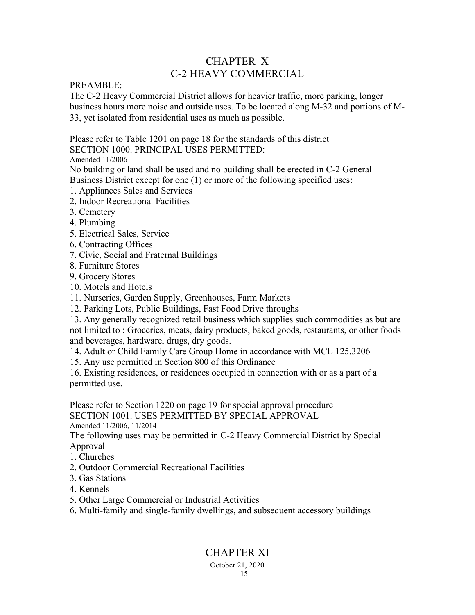# CHAPTER X C-2 HEAVY COMMERCIAL

## PREAMBLE:

The C-2 Heavy Commercial District allows for heavier traffic, more parking, longer business hours more noise and outside uses. To be located along M-32 and portions of M-33, yet isolated from residential uses as much as possible.

Please refer to Table 1201 on page 18 for the standards of this district SECTION 1000. PRINCIPAL USES PERMITTED:

Amended 11/2006

No building or land shall be used and no building shall be erected in C-2 General Business District except for one (1) or more of the following specified uses:

- 1. Appliances Sales and Services
- 2. Indoor Recreational Facilities
- 3. Cemetery
- 4. Plumbing
- 5. Electrical Sales, Service
- 6. Contracting Offices
- 7. Civic, Social and Fraternal Buildings
- 8. Furniture Stores
- 9. Grocery Stores
- 10. Motels and Hotels
- 11. Nurseries, Garden Supply, Greenhouses, Farm Markets
- 12. Parking Lots, Public Buildings, Fast Food Drive throughs

13. Any generally recognized retail business which supplies such commodities as but are not limited to : Groceries, meats, dairy products, baked goods, restaurants, or other foods and beverages, hardware, drugs, dry goods.

14. Adult or Child Family Care Group Home in accordance with MCL 125.3206

15. Any use permitted in Section 800 of this Ordinance

16. Existing residences, or residences occupied in connection with or as a part of a permitted use.

Please refer to Section 1220 on page 19 for special approval procedure SECTION 1001. USES PERMITTED BY SPECIAL APPROVAL

Amended 11/2006, 11/2014

The following uses may be permitted in C-2 Heavy Commercial District by Special Approval

- 1. Churches
- 2. Outdoor Commercial Recreational Facilities
- 3. Gas Stations
- 4. Kennels
- 5. Other Large Commercial or Industrial Activities

6. Multi-family and single-family dwellings, and subsequent accessory buildings

# CHAPTER XI

#### October 21, 2020 15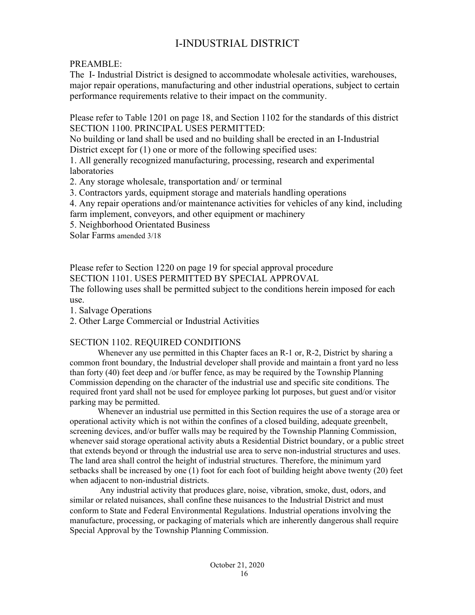# I-INDUSTRIAL DISTRICT

PREAMBLE:

The I- Industrial District is designed to accommodate wholesale activities, warehouses, major repair operations, manufacturing and other industrial operations, subject to certain performance requirements relative to their impact on the community.

Please refer to Table 1201 on page 18, and Section 1102 for the standards of this district SECTION 1100. PRINCIPAL USES PERMITTED:

No building or land shall be used and no building shall be erected in an I-Industrial District except for (1) one or more of the following specified uses:

1. All generally recognized manufacturing, processing, research and experimental laboratories

2. Any storage wholesale, transportation and/ or terminal

3. Contractors yards, equipment storage and materials handling operations

4. Any repair operations and/or maintenance activities for vehicles of any kind, including farm implement, conveyors, and other equipment or machinery

5. Neighborhood Orientated Business

Solar Farms amended 3/18

Please refer to Section 1220 on page 19 for special approval procedure SECTION 1101. USES PERMITTED BY SPECIAL APPROVAL

The following uses shall be permitted subject to the conditions herein imposed for each use.

1. Salvage Operations

2. Other Large Commercial or Industrial Activities

# SECTION 1102. REQUIRED CONDITIONS

Whenever any use permitted in this Chapter faces an R-1 or, R-2, District by sharing a common front boundary, the Industrial developer shall provide and maintain a front yard no less than forty (40) feet deep and /or buffer fence, as may be required by the Township Planning Commission depending on the character of the industrial use and specific site conditions. The required front yard shall not be used for employee parking lot purposes, but guest and/or visitor parking may be permitted.

Whenever an industrial use permitted in this Section requires the use of a storage area or operational activity which is not within the confines of a closed building, adequate greenbelt, screening devices, and/or buffer walls may be required by the Township Planning Commission, whenever said storage operational activity abuts a Residential District boundary, or a public street that extends beyond or through the industrial use area to serve non-industrial structures and uses. The land area shall control the height of industrial structures. Therefore, the minimum yard setbacks shall be increased by one (1) foot for each foot of building height above twenty (20) feet when adjacent to non-industrial districts.

 Any industrial activity that produces glare, noise, vibration, smoke, dust, odors, and similar or related nuisances, shall confine these nuisances to the Industrial District and must conform to State and Federal Environmental Regulations. Industrial operations involving the manufacture, processing, or packaging of materials which are inherently dangerous shall require Special Approval by the Township Planning Commission.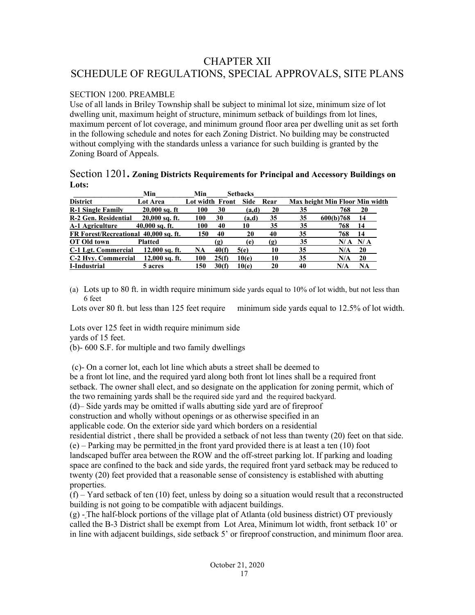# CHAPTER XII SCHEDULE OF REGULATIONS, SPECIAL APPROVALS, SITE PLANS

### SECTION 1200. PREAMBLE

Use of all lands in Briley Township shall be subject to minimal lot size, minimum size of lot dwelling unit, maximum height of structure, minimum setback of buildings from lot lines, maximum percent of lot coverage, and minimum ground floor area per dwelling unit as set forth in the following schedule and notes for each Zoning District. No building may be constructed without complying with the standards unless a variance for such building is granted by the Zoning Board of Appeals.

#### Section 1201**. Zoning Districts Requirements for Principal and Accessory Buildings on Lots:**

|                                       | Min              | Min                    |       | <b>Setbacks</b> |      |    |                                |     |  |
|---------------------------------------|------------------|------------------------|-------|-----------------|------|----|--------------------------------|-----|--|
| <b>District</b>                       | <b>Lot Area</b>  | <b>Lot width Front</b> |       | <b>Side</b>     | Rear |    | Max height Min Floor Min width |     |  |
| <b>R-1 Single Family</b>              | $20,000$ sq. ft  | 100                    | 30    | (a,d)           | 20   | 35 | 768                            | 20  |  |
| R-2 Gen. Residential                  | $20,000$ sq. ft. | 100                    | 30    | (a,d)           | 35   | 35 | 600(b)768                      | 14  |  |
| <b>A-1 Agriculture</b>                | $40,000$ sq. ft. | 100                    | 40    | 10              | 35   | 35 | 768                            | 14  |  |
| FR Forest/Recreational 40,000 sq. ft. |                  | 150                    | 40    | 20              | 40   | 35 | 768                            | 14  |  |
| OT Old town                           | <b>Platted</b>   |                        | (ջ)   | (e)             | (ջ)  | 35 | N/A                            | N/A |  |
| C-1 Lgt. Commercial                   | $12,000$ sq. ft. | NA                     | 40(f) | 5(e)            | 10   | 35 | N/A                            | 20  |  |
| C-2 Hyv. Commercial                   | $12,000$ sq. ft. | 100                    | 25(f) | 10(e)           | 10   | 35 | N/A                            | 20  |  |
| I-Industrial                          | 5 acres          | l50                    | 30(f) | 10(e)           | 20   | 40 | N/A                            | NA  |  |

(a) Lots up to 80 ft. in width require minimum side yards equal to 10% of lot width, but not less than 6 feet

Lots over 80 ft. but less than 125 feet require minimum side yards equal to 12.5% of lot width.

Lots over 125 feet in width require minimum side yards of 15 feet.

(b)- 600 S.F. for multiple and two family dwellings

(c)- On a corner lot, each lot line which abuts a street shall be deemed to

be a front lot line, and the required yard along both front lot lines shall be a required front setback. The owner shall elect, and so designate on the application for zoning permit, which of the two remaining yards shall be the required side yard and the required backyard.

(d)– Side yards may be omitted if walls abutting side yard are of fireproof

construction and wholly without openings or as otherwise specified in an

applicable code. On the exterior side yard which borders on a residential

residential district , there shall be provided a setback of not less than twenty (20) feet on that side. (e) – Parking may be permitted in the front yard provided there is at least a ten (10) foot landscaped buffer area between the ROW and the off-street parking lot. If parking and loading space are confined to the back and side yards, the required front yard setback may be reduced to twenty (20) feet provided that a reasonable sense of consistency is established with abutting properties.

 $(f)$  – Yard setback of ten (10) feet, unless by doing so a situation would result that a reconstructed building is not going to be compatible with adjacent buildings.

(g) - The half-block portions of the village plat of Atlanta (old business district) OT previously called the B-3 District shall be exempt from Lot Area, Minimum lot width, front setback 10' or in line with adjacent buildings, side setback 5' or fireproof construction, and minimum floor area.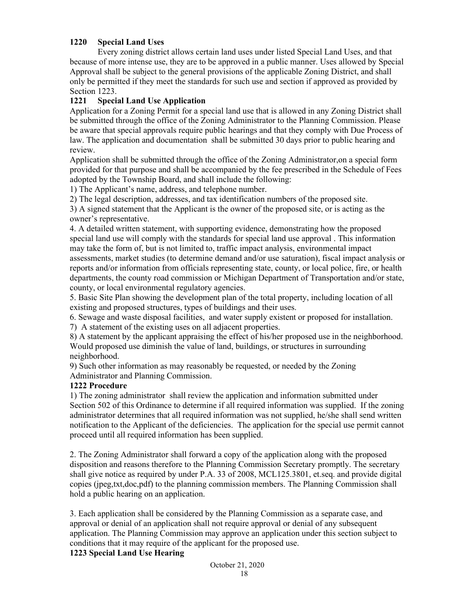### **1220 Special Land Uses**

Every zoning district allows certain land uses under listed Special Land Uses, and that because of more intense use, they are to be approved in a public manner. Uses allowed by Special Approval shall be subject to the general provisions of the applicable Zoning District, and shall only be permitted if they meet the standards for such use and section if approved as provided by Section 1223.

#### **1221 Special Land Use Application**

Application for a Zoning Permit for a special land use that is allowed in any Zoning District shall be submitted through the office of the Zoning Administrator to the Planning Commission. Please be aware that special approvals require public hearings and that they comply with Due Process of law. The application and documentation shall be submitted 30 days prior to public hearing and review.

Application shall be submitted through the office of the Zoning Administrator,on a special form provided for that purpose and shall be accompanied by the fee prescribed in the Schedule of Fees adopted by the Township Board, and shall include the following:

1) The Applicant's name, address, and telephone number.

2) The legal description, addresses, and tax identification numbers of the proposed site.

3) A signed statement that the Applicant is the owner of the proposed site, or is acting as the owner's representative.

4. A detailed written statement, with supporting evidence, demonstrating how the proposed special land use will comply with the standards for special land use approval . This information may take the form of, but is not limited to, traffic impact analysis, environmental impact assessments, market studies (to determine demand and/or use saturation), fiscal impact analysis or reports and/or information from officials representing state, county, or local police, fire, or health departments, the county road commission or Michigan Department of Transportation and/or state, county, or local environmental regulatory agencies.

5. Basic Site Plan showing the development plan of the total property, including location of all existing and proposed structures, types of buildings and their uses.

6. Sewage and waste disposal facilities, and water supply existent or proposed for installation.

7) A statement of the existing uses on all adjacent properties.

8) A statement by the applicant appraising the effect of his/her proposed use in the neighborhood. Would proposed use diminish the value of land, buildings, or structures in surrounding neighborhood.

9) Such other information as may reasonably be requested, or needed by the Zoning Administrator and Planning Commission.

#### **1222 Procedure**

1) The zoning administrator shall review the application and information submitted under Section 502 of this Ordinance to determine if all required information was supplied. If the zoning administrator determines that all required information was not supplied, he/she shall send written notification to the Applicant of the deficiencies. The application for the special use permit cannot proceed until all required information has been supplied.

2. The Zoning Administrator shall forward a copy of the application along with the proposed disposition and reasons therefore to the Planning Commission Secretary promptly. The secretary shall give notice as required by under P.A. 33 of 2008, MCL125.3801, et.seq. and provide digital copies (jpeg,txt,doc,pdf) to the planning commission members. The Planning Commission shall hold a public hearing on an application.

3. Each application shall be considered by the Planning Commission as a separate case, and approval or denial of an application shall not require approval or denial of any subsequent application. The Planning Commission may approve an application under this section subject to conditions that it may require of the applicant for the proposed use.

#### **1223 Special Land Use Hearing**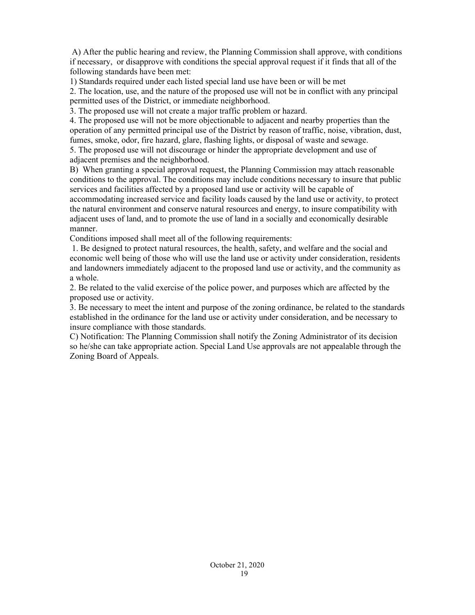A) After the public hearing and review, the Planning Commission shall approve, with conditions if necessary, or disapprove with conditions the special approval request if it finds that all of the following standards have been met:

1) Standards required under each listed special land use have been or will be met

2. The location, use, and the nature of the proposed use will not be in conflict with any principal permitted uses of the District, or immediate neighborhood.

3. The proposed use will not create a major traffic problem or hazard.

4. The proposed use will not be more objectionable to adjacent and nearby properties than the operation of any permitted principal use of the District by reason of traffic, noise, vibration, dust, fumes, smoke, odor, fire hazard, glare, flashing lights, or disposal of waste and sewage.

5. The proposed use will not discourage or hinder the appropriate development and use of adjacent premises and the neighborhood.

B) When granting a special approval request, the Planning Commission may attach reasonable conditions to the approval. The conditions may include conditions necessary to insure that public services and facilities affected by a proposed land use or activity will be capable of accommodating increased service and facility loads caused by the land use or activity, to protect

the natural environment and conserve natural resources and energy, to insure compatibility with adjacent uses of land, and to promote the use of land in a socially and economically desirable manner.

Conditions imposed shall meet all of the following requirements:

 1. Be designed to protect natural resources, the health, safety, and welfare and the social and economic well being of those who will use the land use or activity under consideration, residents and landowners immediately adjacent to the proposed land use or activity, and the community as a whole.

2. Be related to the valid exercise of the police power, and purposes which are affected by the proposed use or activity.

3. Be necessary to meet the intent and purpose of the zoning ordinance, be related to the standards established in the ordinance for the land use or activity under consideration, and be necessary to insure compliance with those standards.

C) Notification: The Planning Commission shall notify the Zoning Administrator of its decision so he/she can take appropriate action. Special Land Use approvals are not appealable through the Zoning Board of Appeals.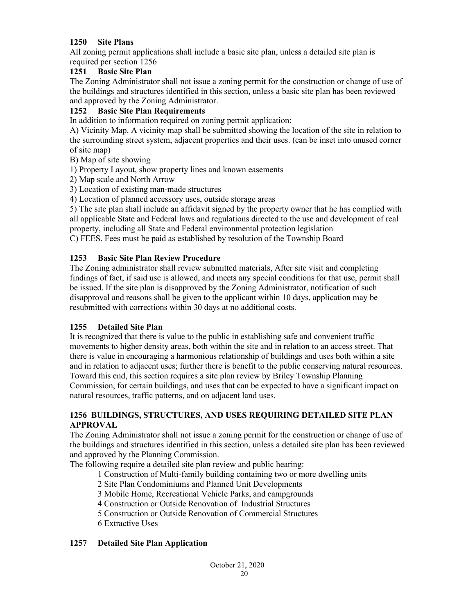## **1250 Site Plans**

All zoning permit applications shall include a basic site plan, unless a detailed site plan is required per section 1256

### **1251 Basic Site Plan**

The Zoning Administrator shall not issue a zoning permit for the construction or change of use of the buildings and structures identified in this section, unless a basic site plan has been reviewed and approved by the Zoning Administrator.

## **1252 Basic Site Plan Requirements**

In addition to information required on zoning permit application:

A) Vicinity Map. A vicinity map shall be submitted showing the location of the site in relation to the surrounding street system, adjacent properties and their uses. (can be inset into unused corner of site map)

- B) Map of site showing
- 1) Property Layout, show property lines and known easements
- 2) Map scale and North Arrow
- 3) Location of existing man-made structures
- 4) Location of planned accessory uses, outside storage areas

5) The site plan shall include an affidavit signed by the property owner that he has complied with all applicable State and Federal laws and regulations directed to the use and development of real property, including all State and Federal environmental protection legislation

C) FEES. Fees must be paid as established by resolution of the Township Board

### **1253 Basic Site Plan Review Procedure**

The Zoning administrator shall review submitted materials, After site visit and completing findings of fact, if said use is allowed, and meets any special conditions for that use, permit shall be issued. If the site plan is disapproved by the Zoning Administrator, notification of such disapproval and reasons shall be given to the applicant within 10 days, application may be resubmitted with corrections within 30 days at no additional costs.

### **1255 Detailed Site Plan**

It is recognized that there is value to the public in establishing safe and convenient traffic movements to higher density areas, both within the site and in relation to an access street. That there is value in encouraging a harmonious relationship of buildings and uses both within a site and in relation to adjacent uses; further there is benefit to the public conserving natural resources. Toward this end, this section requires a site plan review by Briley Township Planning Commission, for certain buildings, and uses that can be expected to have a significant impact on natural resources, traffic patterns, and on adjacent land uses.

### **1256 BUILDINGS, STRUCTURES, AND USES REQUIRING DETAILED SITE PLAN APPROVAL**

The Zoning Administrator shall not issue a zoning permit for the construction or change of use of the buildings and structures identified in this section, unless a detailed site plan has been reviewed and approved by the Planning Commission.

The following require a detailed site plan review and public hearing:

- 1 Construction of Multi-family building containing two or more dwelling units
- 2 Site Plan Condominiums and Planned Unit Developments
- 3 Mobile Home, Recreational Vehicle Parks, and campgrounds
- 4 Construction or Outside Renovation of Industrial Structures
- 5 Construction or Outside Renovation of Commercial Structures
- 6 Extractive Uses

### **1257 Detailed Site Plan Application**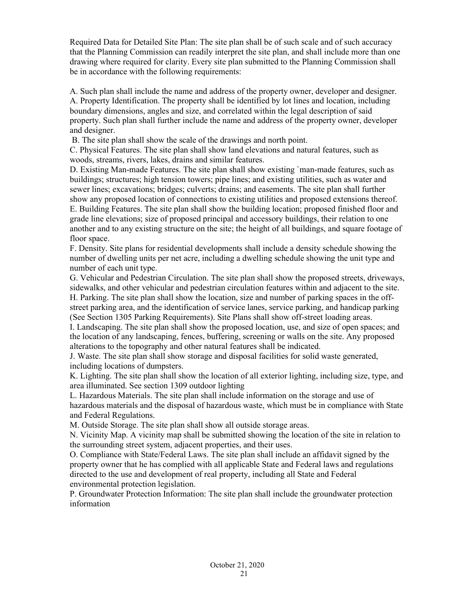Required Data for Detailed Site Plan: The site plan shall be of such scale and of such accuracy that the Planning Commission can readily interpret the site plan, and shall include more than one drawing where required for clarity. Every site plan submitted to the Planning Commission shall be in accordance with the following requirements:

A. Such plan shall include the name and address of the property owner, developer and designer. A. Property Identification. The property shall be identified by lot lines and location, including boundary dimensions, angles and size, and correlated within the legal description of said property. Such plan shall further include the name and address of the property owner, developer and designer.

B. The site plan shall show the scale of the drawings and north point.

C. Physical Features. The site plan shall show land elevations and natural features, such as woods, streams, rivers, lakes, drains and similar features.

D. Existing Man-made Features. The site plan shall show existing `man-made features, such as buildings; structures; high tension towers; pipe lines; and existing utilities, such as water and sewer lines; excavations; bridges; culverts; drains; and easements. The site plan shall further show any proposed location of connections to existing utilities and proposed extensions thereof. E. Building Features. The site plan shall show the building location; proposed finished floor and grade line elevations; size of proposed principal and accessory buildings, their relation to one another and to any existing structure on the site; the height of all buildings, and square footage of floor space.

F. Density. Site plans for residential developments shall include a density schedule showing the number of dwelling units per net acre, including a dwelling schedule showing the unit type and number of each unit type.

G. Vehicular and Pedestrian Circulation. The site plan shall show the proposed streets, driveways, sidewalks, and other vehicular and pedestrian circulation features within and adjacent to the site. H. Parking. The site plan shall show the location, size and number of parking spaces in the offstreet parking area, and the identification of service lanes, service parking, and handicap parking (See Section 1305 Parking Requirements). Site Plans shall show off-street loading areas.

I. Landscaping. The site plan shall show the proposed location, use, and size of open spaces; and the location of any landscaping, fences, buffering, screening or walls on the site. Any proposed alterations to the topography and other natural features shall be indicated.

J. Waste. The site plan shall show storage and disposal facilities for solid waste generated, including locations of dumpsters.

K. Lighting. The site plan shall show the location of all exterior lighting, including size, type, and area illuminated. See section 1309 outdoor lighting

L. Hazardous Materials. The site plan shall include information on the storage and use of hazardous materials and the disposal of hazardous waste, which must be in compliance with State and Federal Regulations.

M. Outside Storage. The site plan shall show all outside storage areas.

N. Vicinity Map. A vicinity map shall be submitted showing the location of the site in relation to the surrounding street system, adjacent properties, and their uses.

O. Compliance with State/Federal Laws. The site plan shall include an affidavit signed by the property owner that he has complied with all applicable State and Federal laws and regulations directed to the use and development of real property, including all State and Federal environmental protection legislation.

P. Groundwater Protection Information: The site plan shall include the groundwater protection information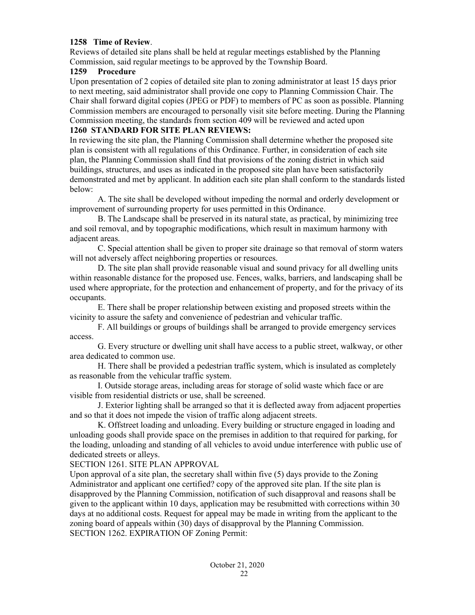#### **1258 Time of Review**.

Reviews of detailed site plans shall be held at regular meetings established by the Planning Commission, said regular meetings to be approved by the Township Board.

#### **1259 Procedure**

Upon presentation of 2 copies of detailed site plan to zoning administrator at least 15 days prior to next meeting, said administrator shall provide one copy to Planning Commission Chair. The Chair shall forward digital copies (JPEG or PDF) to members of PC as soon as possible. Planning Commission members are encouraged to personally visit site before meeting. During the Planning Commission meeting, the standards from section 409 will be reviewed and acted upon

### **1260 STANDARD FOR SITE PLAN REVIEWS:**

In reviewing the site plan, the Planning Commission shall determine whether the proposed site plan is consistent with all regulations of this Ordinance. Further, in consideration of each site plan, the Planning Commission shall find that provisions of the zoning district in which said buildings, structures, and uses as indicated in the proposed site plan have been satisfactorily demonstrated and met by applicant. In addition each site plan shall conform to the standards listed below:

A. The site shall be developed without impeding the normal and orderly development or improvement of surrounding property for uses permitted in this Ordinance.

B. The Landscape shall be preserved in its natural state, as practical, by minimizing tree and soil removal, and by topographic modifications, which result in maximum harmony with adjacent areas.

C. Special attention shall be given to proper site drainage so that removal of storm waters will not adversely affect neighboring properties or resources.

D. The site plan shall provide reasonable visual and sound privacy for all dwelling units within reasonable distance for the proposed use. Fences, walks, barriers, and landscaping shall be used where appropriate, for the protection and enhancement of property, and for the privacy of its occupants.

E. There shall be proper relationship between existing and proposed streets within the vicinity to assure the safety and convenience of pedestrian and vehicular traffic.

F. All buildings or groups of buildings shall be arranged to provide emergency services access.

G. Every structure or dwelling unit shall have access to a public street, walkway, or other area dedicated to common use.

H. There shall be provided a pedestrian traffic system, which is insulated as completely as reasonable from the vehicular traffic system.

I. Outside storage areas, including areas for storage of solid waste which face or are visible from residential districts or use, shall be screened.

J. Exterior lighting shall be arranged so that it is deflected away from adjacent properties and so that it does not impede the vision of traffic along adjacent streets.

 K. Offstreet loading and unloading. Every building or structure engaged in loading and unloading goods shall provide space on the premises in addition to that required for parking, for the loading, unloading and standing of all vehicles to avoid undue interference with public use of dedicated streets or alleys.

SECTION 1261. SITE PLAN APPROVAL

Upon approval of a site plan, the secretary shall within five (5) days provide to the Zoning Administrator and applicant one certified? copy of the approved site plan. If the site plan is disapproved by the Planning Commission, notification of such disapproval and reasons shall be given to the applicant within 10 days, application may be resubmitted with corrections within 30 days at no additional costs. Request for appeal may be made in writing from the applicant to the zoning board of appeals within (30) days of disapproval by the Planning Commission. SECTION 1262. EXPIRATION OF Zoning Permit: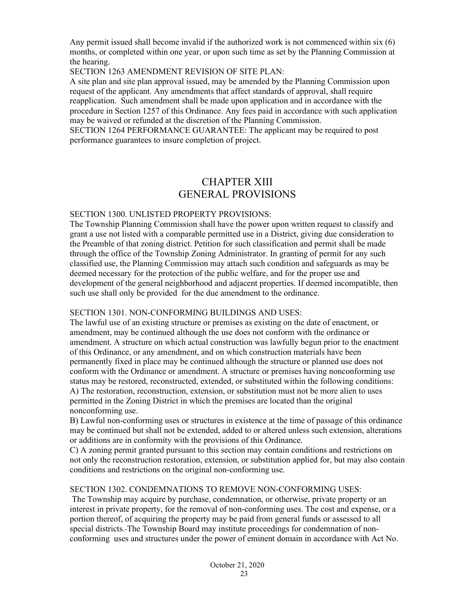Any permit issued shall become invalid if the authorized work is not commenced within six (6) months, or completed within one year, or upon such time as set by the Planning Commission at the hearing.

SECTION 1263 AMENDMENT REVISION OF SITE PLAN:

A site plan and site plan approval issued, may be amended by the Planning Commission upon request of the applicant. Any amendments that affect standards of approval, shall require reapplication. Such amendment shall be made upon application and in accordance with the procedure in Section 1257 of this Ordinance. Any fees paid in accordance with such application may be waived or refunded at the discretion of the Planning Commission.

SECTION 1264 PERFORMANCE GUARANTEE: The applicant may be required to post performance guarantees to insure completion of project.

# CHAPTER XIII GENERAL PROVISIONS

#### SECTION 1300. UNLISTED PROPERTY PROVISIONS:

The Township Planning Commission shall have the power upon written request to classify and grant a use not listed with a comparable permitted use in a District, giving due consideration to the Preamble of that zoning district. Petition for such classification and permit shall be made through the office of the Township Zoning Administrator. In granting of permit for any such classified use, the Planning Commission may attach such condition and safeguards as may be deemed necessary for the protection of the public welfare, and for the proper use and development of the general neighborhood and adjacent properties. If deemed incompatible, then such use shall only be provided for the due amendment to the ordinance.

#### SECTION 1301. NON-CONFORMING BUILDINGS AND USES:

The lawful use of an existing structure or premises as existing on the date of enactment, or amendment, may be continued although the use does not conform with the ordinance or amendment. A structure on which actual construction was lawfully begun prior to the enactment of this Ordinance, or any amendment, and on which construction materials have been permanently fixed in place may be continued although the structure or planned use does not conform with the Ordinance or amendment. A structure or premises having nonconforming use status may be restored, reconstructed, extended, or substituted within the following conditions: A) The restoration, reconstruction, extension, or substitution must not be more alien to uses permitted in the Zoning District in which the premises are located than the original nonconforming use.

B) Lawful non-conforming uses or structures in existence at the time of passage of this ordinance may be continued but shall not be extended, added to or altered unless such extension, alterations or additions are in conformity with the provisions of this Ordinance.

C) A zoning permit granted pursuant to this section may contain conditions and restrictions on not only the reconstruction restoration, extension, or substitution applied for, but may also contain conditions and restrictions on the original non-conforming use.

#### SECTION 1302. CONDEMNATIONS TO REMOVE NON-CONFORMING USES:

 The Township may acquire by purchase, condemnation, or otherwise, private property or an interest in private property, for the removal of non-conforming uses. The cost and expense, or a portion thereof, of acquiring the property may be paid from general funds or assessed to all special districts. The Township Board may institute proceedings for condemnation of nonconforming uses and structures under the power of eminent domain in accordance with Act No.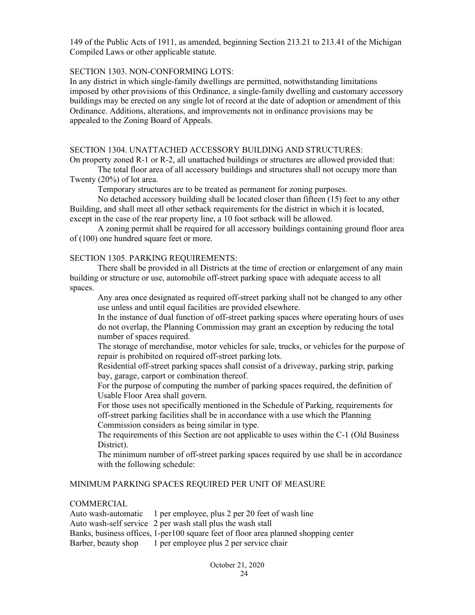149 of the Public Acts of 1911, as amended, beginning Section 213.21 to 213.41 of the Michigan Compiled Laws or other applicable statute.

#### SECTION 1303. NON-CONFORMING LOTS:

In any district in which single-family dwellings are permitted, notwithstanding limitations imposed by other provisions of this Ordinance, a single-family dwelling and customary accessory buildings may be erected on any single lot of record at the date of adoption or amendment of this Ordinance. Additions, alterations, and improvements not in ordinance provisions may be appealed to the Zoning Board of Appeals.

#### SECTION 1304. UNATTACHED ACCESSORY BUILDING AND STRUCTURES:

On property zoned R-1 or R-2, all unattached buildings or structures are allowed provided that:

The total floor area of all accessory buildings and structures shall not occupy more than Twenty (20%) of lot area.

Temporary structures are to be treated as permanent for zoning purposes.

No detached accessory building shall be located closer than fifteen (15) feet to any other Building, and shall meet all other setback requirements for the district in which it is located, except in the case of the rear property line, a 10 foot setback will be allowed.

 A zoning permit shall be required for all accessory buildings containing ground floor area of (100) one hundred square feet or more.

#### SECTION 1305. PARKING REQUIREMENTS:

There shall be provided in all Districts at the time of erection or enlargement of any main building or structure or use, automobile off-street parking space with adequate access to all spaces.

Any area once designated as required off-street parking shall not be changed to any other use unless and until equal facilities are provided elsewhere.

In the instance of dual function of off-street parking spaces where operating hours of uses do not overlap, the Planning Commission may grant an exception by reducing the total number of spaces required.

The storage of merchandise, motor vehicles for sale, trucks, or vehicles for the purpose of repair is prohibited on required off-street parking lots.

Residential off-street parking spaces shall consist of a driveway, parking strip, parking bay, garage, carport or combination thereof.

For the purpose of computing the number of parking spaces required, the definition of Usable Floor Area shall govern.

For those uses not specifically mentioned in the Schedule of Parking, requirements for off-street parking facilities shall be in accordance with a use which the Planning Commission considers as being similar in type.

The requirements of this Section are not applicable to uses within the C-1 (Old Business District).

The minimum number of off-street parking spaces required by use shall be in accordance with the following schedule:

#### MINIMUM PARKING SPACES REQUIRED PER UNIT OF MEASURE

#### COMMERCIAL

Auto wash-automatic 1 per employee, plus 2 per 20 feet of wash line Auto wash-self service 2 per wash stall plus the wash stall Banks, business offices, 1-per100 square feet of floor area planned shopping center Barber, beauty shop 1 per employee plus 2 per service chair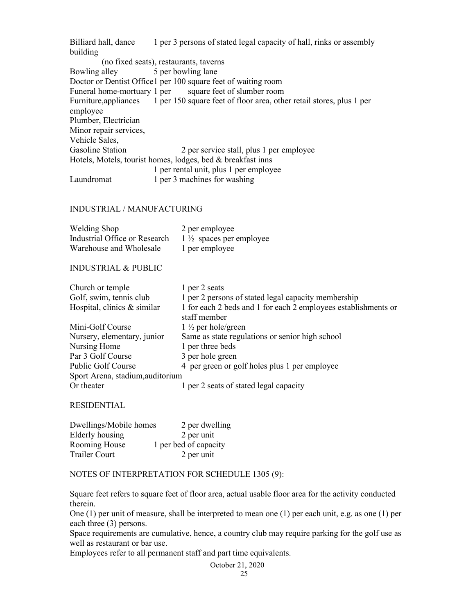Billiard hall, dance 1 per 3 persons of stated legal capacity of hall, rinks or assembly building (no fixed seats), restaurants, taverns Bowling alley 5 per bowling lane Doctor or Dentist Office 1 per 100 square feet of waiting room Funeral home-mortuary 1 per square feet of slumber room Furniture,appliances 1 per 150 square feet of floor area, other retail stores, plus 1 per employee Plumber, Electrician Minor repair services, Vehicle Sales, Gasoline Station 2 per service stall, plus 1 per employee Hotels, Motels, tourist homes, lodges, bed & breakfast inns 1 per rental unit, plus 1 per employee Laundromat 1 per 3 machines for washing

#### INDUSTRIAL / MANUFACTURING

| Welding Shop                  | 2 per employee                     |
|-------------------------------|------------------------------------|
| Industrial Office or Research | $1\frac{1}{2}$ spaces per employee |
| Warehouse and Wholesale       | 1 per employee                     |

#### INDUSTRIAL & PUBLIC

| Church or temple                 | 1 per 2 seats                                                                  |
|----------------------------------|--------------------------------------------------------------------------------|
| Golf, swim, tennis club          | 1 per 2 persons of stated legal capacity membership                            |
| Hospital, clinics & similar      | 1 for each 2 beds and 1 for each 2 employees establishments or<br>staff member |
| Mini-Golf Course                 | $1\frac{1}{2}$ per hole/green                                                  |
| Nursery, elementary, junior      | Same as state regulations or senior high school                                |
| Nursing Home                     | 1 per three beds                                                               |
| Par 3 Golf Course                | 3 per hole green                                                               |
| <b>Public Golf Course</b>        | 4 per green or golf holes plus 1 per employee                                  |
| Sport Arena, stadium, auditorium |                                                                                |
| Or theater                       | 1 per 2 seats of stated legal capacity                                         |

#### RESIDENTIAL

| Dwellings/Mobile homes | 2 per dwelling        |
|------------------------|-----------------------|
| Elderly housing        | 2 per unit            |
| <b>Rooming House</b>   | 1 per bed of capacity |
| Trailer Court          | 2 per unit            |

#### NOTES OF INTERPRETATION FOR SCHEDULE 1305 (9):

Square feet refers to square feet of floor area, actual usable floor area for the activity conducted therein.

One (1) per unit of measure, shall be interpreted to mean one (1) per each unit, e.g. as one (1) per each three (3) persons.

Space requirements are cumulative, hence, a country club may require parking for the golf use as well as restaurant or bar use.

Employees refer to all permanent staff and part time equivalents.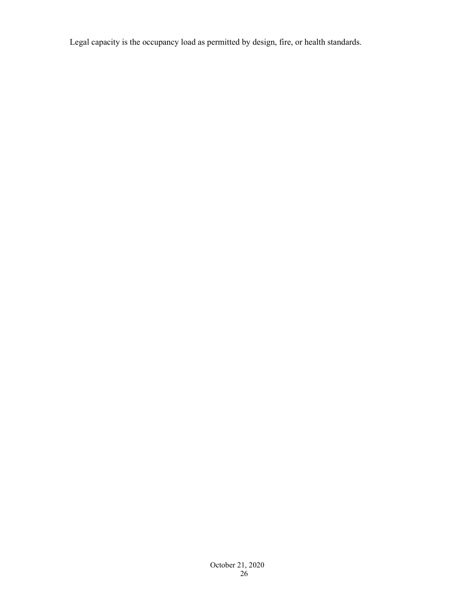Legal capacity is the occupancy load as permitted by design, fire, or health standards.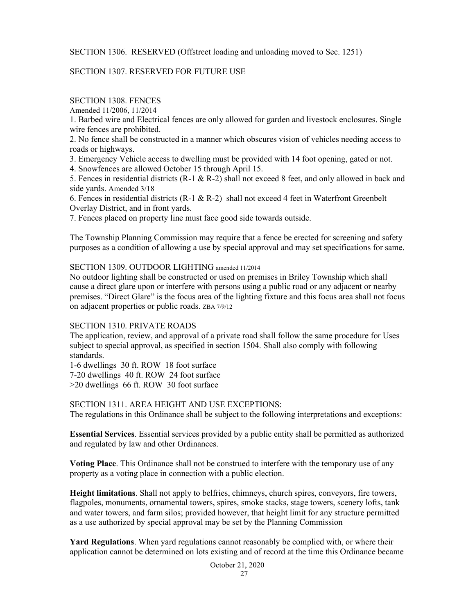#### SECTION 1306. RESERVED (Offstreet loading and unloading moved to Sec. 1251)

#### SECTION 1307. RESERVED FOR FUTURE USE

### SECTION 1308. FENCES

Amended 11/2006, 11/2014

1. Barbed wire and Electrical fences are only allowed for garden and livestock enclosures. Single wire fences are prohibited.

2. No fence shall be constructed in a manner which obscures vision of vehicles needing access to roads or highways.

3. Emergency Vehicle access to dwelling must be provided with 14 foot opening, gated or not.

4. Snowfences are allowed October 15 through April 15.

5. Fences in residential districts (R-1 & R-2) shall not exceed 8 feet, and only allowed in back and side yards. Amended 3/18

6. Fences in residential districts (R-1 & R-2) shall not exceed 4 feet in Waterfront Greenbelt Overlay District, and in front yards.

7. Fences placed on property line must face good side towards outside.

The Township Planning Commission may require that a fence be erected for screening and safety purposes as a condition of allowing a use by special approval and may set specifications for same.

### SECTION 1309. OUTDOOR LIGHTING amended 11/2014

No outdoor lighting shall be constructed or used on premises in Briley Township which shall cause a direct glare upon or interfere with persons using a public road or any adjacent or nearby premises. "Direct Glare" is the focus area of the lighting fixture and this focus area shall not focus on adjacent properties or public roads. ZBA 7/9/12

#### SECTION 1310. PRIVATE ROADS

The application, review, and approval of a private road shall follow the same procedure for Uses subject to special approval, as specified in section 1504. Shall also comply with following standards.

1-6 dwellings 30 ft. ROW 18 foot surface 7-20 dwellings 40 ft. ROW 24 foot surface >20 dwellings 66 ft. ROW 30 foot surface

SECTION 1311. AREA HEIGHT AND USE EXCEPTIONS: The regulations in this Ordinance shall be subject to the following interpretations and exceptions:

**Essential Services**. Essential services provided by a public entity shall be permitted as authorized and regulated by law and other Ordinances.

**Voting Place**. This Ordinance shall not be construed to interfere with the temporary use of any property as a voting place in connection with a public election.

**Height limitations**. Shall not apply to belfries, chimneys, church spires, conveyors, fire towers, flagpoles, monuments, ornamental towers, spires, smoke stacks, stage towers, scenery lofts, tank and water towers, and farm silos; provided however, that height limit for any structure permitted as a use authorized by special approval may be set by the Planning Commission

**Yard Regulations**. When yard regulations cannot reasonably be complied with, or where their application cannot be determined on lots existing and of record at the time this Ordinance became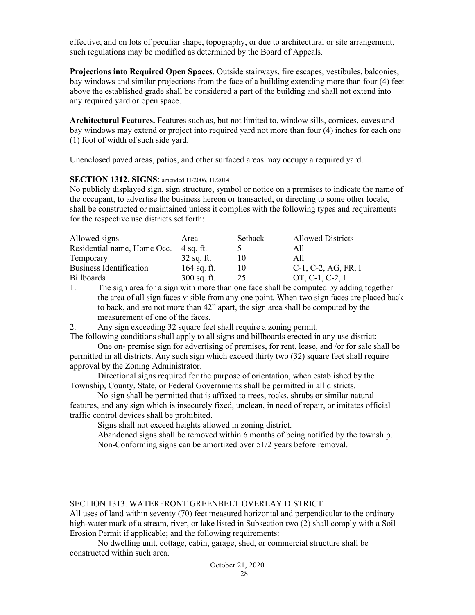effective, and on lots of peculiar shape, topography, or due to architectural or site arrangement, such regulations may be modified as determined by the Board of Appeals.

**Projections into Required Open Spaces**. Outside stairways, fire escapes, vestibules, balconies, bay windows and similar projections from the face of a building extending more than four (4) feet above the established grade shall be considered a part of the building and shall not extend into any required yard or open space.

**Architectural Features.** Features such as, but not limited to, window sills, cornices, eaves and bay windows may extend or project into required yard not more than four (4) inches for each one (1) foot of width of such side yard.

Unenclosed paved areas, patios, and other surfaced areas may occupy a required yard.

#### **SECTION 1312. SIGNS**: amended 11/2006, 11/2014

No publicly displayed sign, sign structure, symbol or notice on a premises to indicate the name of the occupant, to advertise the business hereon or transacted, or directing to some other locale, shall be constructed or maintained unless it complies with the following types and requirements for the respective use districts set forth:

| Allowed signs                  | Area          | Setback | <b>Allowed Districts</b>        |
|--------------------------------|---------------|---------|---------------------------------|
| Residential name, Home Occ.    | - 4 sq. ft.   |         | All                             |
| Temporary                      | $32$ sq. ft.  |         | All                             |
| <b>Business Identification</b> | 164 sq. ft.   |         | $C-1$ , $C-2$ , $AG$ , $FR$ , I |
| <b>Billboards</b>              | $300$ sq. ft. | 25      | OT, C-1, C-2, I                 |

1. The sign area for a sign with more than one face shall be computed by adding together the area of all sign faces visible from any one point. When two sign faces are placed back to back, and are not more than 42" apart, the sign area shall be computed by the measurement of one of the faces.

2. Any sign exceeding 32 square feet shall require a zoning permit.

The following conditions shall apply to all signs and billboards erected in any use district:

One on- premise sign for advertising of premises, for rent, lease, and /or for sale shall be permitted in all districts. Any such sign which exceed thirty two (32) square feet shall require approval by the Zoning Administrator.

Directional signs required for the purpose of orientation, when established by the Township, County, State, or Federal Governments shall be permitted in all districts.

No sign shall be permitted that is affixed to trees, rocks, shrubs or similar natural features, and any sign which is insecurely fixed, unclean, in need of repair, or imitates official traffic control devices shall be prohibited.

Signs shall not exceed heights allowed in zoning district.

Abandoned signs shall be removed within 6 months of being notified by the township. Non-Conforming signs can be amortized over 51/2 years before removal.

#### SECTION 1313. WATERFRONT GREENBELT OVERLAY DISTRICT

All uses of land within seventy (70) feet measured horizontal and perpendicular to the ordinary high-water mark of a stream, river, or lake listed in Subsection two (2) shall comply with a Soil Erosion Permit if applicable; and the following requirements:

No dwelling unit, cottage, cabin, garage, shed, or commercial structure shall be constructed within such area.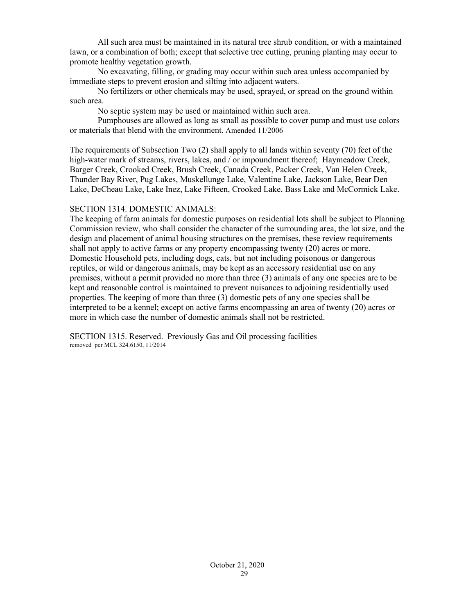All such area must be maintained in its natural tree shrub condition, or with a maintained lawn, or a combination of both; except that selective tree cutting, pruning planting may occur to promote healthy vegetation growth.

No excavating, filling, or grading may occur within such area unless accompanied by immediate steps to prevent erosion and silting into adjacent waters.

No fertilizers or other chemicals may be used, sprayed, or spread on the ground within such area.

No septic system may be used or maintained within such area.

 Pumphouses are allowed as long as small as possible to cover pump and must use colors or materials that blend with the environment. Amended 11/2006

The requirements of Subsection Two (2) shall apply to all lands within seventy (70) feet of the high-water mark of streams, rivers, lakes, and / or impoundment thereof; Haymeadow Creek, Barger Creek, Crooked Creek, Brush Creek, Canada Creek, Packer Creek, Van Helen Creek, Thunder Bay River, Pug Lakes, Muskellunge Lake, Valentine Lake, Jackson Lake, Bear Den Lake, DeCheau Lake, Lake Inez, Lake Fifteen, Crooked Lake, Bass Lake and McCormick Lake.

#### SECTION 1314. DOMESTIC ANIMALS:

The keeping of farm animals for domestic purposes on residential lots shall be subject to Planning Commission review, who shall consider the character of the surrounding area, the lot size, and the design and placement of animal housing structures on the premises, these review requirements shall not apply to active farms or any property encompassing twenty (20) acres or more. Domestic Household pets, including dogs, cats, but not including poisonous or dangerous reptiles, or wild or dangerous animals, may be kept as an accessory residential use on any premises, without a permit provided no more than three (3) animals of any one species are to be kept and reasonable control is maintained to prevent nuisances to adjoining residentially used properties. The keeping of more than three (3) domestic pets of any one species shall be interpreted to be a kennel; except on active farms encompassing an area of twenty (20) acres or more in which case the number of domestic animals shall not be restricted.

SECTION 1315. Reserved. Previously Gas and Oil processing facilities removed per MCL 324.6150, 11/2014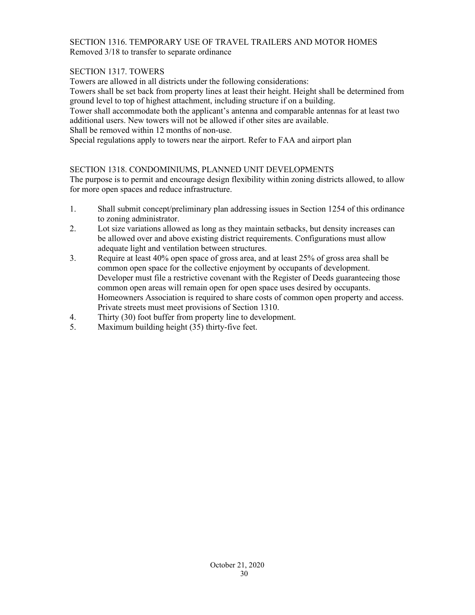### SECTION 1316. TEMPORARY USE OF TRAVEL TRAILERS AND MOTOR HOMES Removed 3/18 to transfer to separate ordinance

### SECTION 1317. TOWERS

Towers are allowed in all districts under the following considerations:

Towers shall be set back from property lines at least their height. Height shall be determined from ground level to top of highest attachment, including structure if on a building.

Tower shall accommodate both the applicant's antenna and comparable antennas for at least two additional users. New towers will not be allowed if other sites are available.

Shall be removed within 12 months of non-use.

Special regulations apply to towers near the airport. Refer to FAA and airport plan

#### SECTION 1318. CONDOMINIUMS, PLANNED UNIT DEVELOPMENTS

The purpose is to permit and encourage design flexibility within zoning districts allowed, to allow for more open spaces and reduce infrastructure.

- 1. Shall submit concept/preliminary plan addressing issues in Section 1254 of this ordinance to zoning administrator.
- 2. Lot size variations allowed as long as they maintain setbacks, but density increases can be allowed over and above existing district requirements. Configurations must allow adequate light and ventilation between structures.
- 3. Require at least 40% open space of gross area, and at least 25% of gross area shall be common open space for the collective enjoyment by occupants of development. Developer must file a restrictive covenant with the Register of Deeds guaranteeing those common open areas will remain open for open space uses desired by occupants. Homeowners Association is required to share costs of common open property and access. Private streets must meet provisions of Section 1310.
- 4. Thirty (30) foot buffer from property line to development.
- 5. Maximum building height (35) thirty-five feet.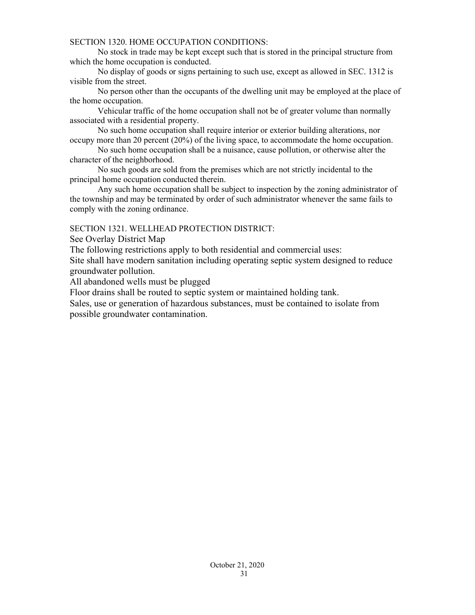#### SECTION 1320. HOME OCCUPATION CONDITIONS:

No stock in trade may be kept except such that is stored in the principal structure from which the home occupation is conducted.

No display of goods or signs pertaining to such use, except as allowed in SEC. 1312 is visible from the street.

No person other than the occupants of the dwelling unit may be employed at the place of the home occupation.

Vehicular traffic of the home occupation shall not be of greater volume than normally associated with a residential property.

No such home occupation shall require interior or exterior building alterations, nor occupy more than 20 percent (20%) of the living space, to accommodate the home occupation.

No such home occupation shall be a nuisance, cause pollution, or otherwise alter the character of the neighborhood.

No such goods are sold from the premises which are not strictly incidental to the principal home occupation conducted therein.

Any such home occupation shall be subject to inspection by the zoning administrator of the township and may be terminated by order of such administrator whenever the same fails to comply with the zoning ordinance.

#### SECTION 1321. WELLHEAD PROTECTION DISTRICT:

See Overlay District Map

The following restrictions apply to both residential and commercial uses:

Site shall have modern sanitation including operating septic system designed to reduce groundwater pollution.

All abandoned wells must be plugged

Floor drains shall be routed to septic system or maintained holding tank.

Sales, use or generation of hazardous substances, must be contained to isolate from possible groundwater contamination.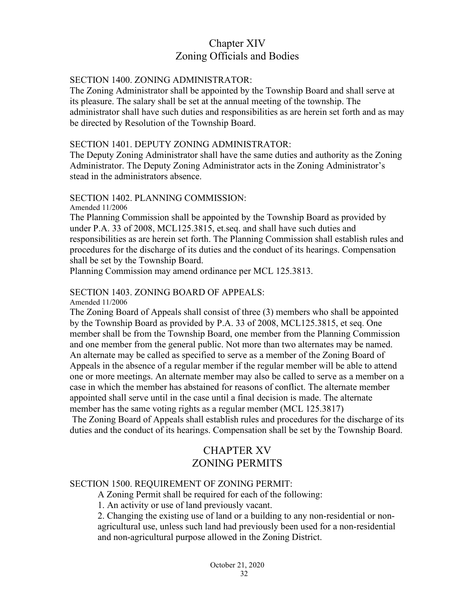# Chapter XIV Zoning Officials and Bodies

### SECTION 1400. ZONING ADMINISTRATOR:

The Zoning Administrator shall be appointed by the Township Board and shall serve at its pleasure. The salary shall be set at the annual meeting of the township. The administrator shall have such duties and responsibilities as are herein set forth and as may be directed by Resolution of the Township Board.

#### SECTION 1401. DEPUTY ZONING ADMINISTRATOR:

The Deputy Zoning Administrator shall have the same duties and authority as the Zoning Administrator. The Deputy Zoning Administrator acts in the Zoning Administrator's stead in the administrators absence.

#### SECTION 1402. PLANNING COMMISSION:

Amended 11/2006

The Planning Commission shall be appointed by the Township Board as provided by under P.A. 33 of 2008, MCL125.3815, et.seq. and shall have such duties and responsibilities as are herein set forth. The Planning Commission shall establish rules and procedures for the discharge of its duties and the conduct of its hearings. Compensation shall be set by the Township Board.

Planning Commission may amend ordinance per MCL 125.3813.

# SECTION 1403. ZONING BOARD OF APPEALS:

Amended 11/2006

The Zoning Board of Appeals shall consist of three (3) members who shall be appointed by the Township Board as provided by P.A. 33 of 2008, MCL125.3815, et seq. One member shall be from the Township Board, one member from the Planning Commission and one member from the general public. Not more than two alternates may be named. An alternate may be called as specified to serve as a member of the Zoning Board of Appeals in the absence of a regular member if the regular member will be able to attend one or more meetings. An alternate member may also be called to serve as a member on a case in which the member has abstained for reasons of conflict. The alternate member appointed shall serve until in the case until a final decision is made. The alternate member has the same voting rights as a regular member (MCL 125.3817)

 The Zoning Board of Appeals shall establish rules and procedures for the discharge of its duties and the conduct of its hearings. Compensation shall be set by the Township Board.

# CHAPTER XV ZONING PERMITS

### SECTION 1500. REQUIREMENT OF ZONING PERMIT:

A Zoning Permit shall be required for each of the following:

1. An activity or use of land previously vacant.

2. Changing the existing use of land or a building to any non-residential or nonagricultural use, unless such land had previously been used for a non-residential and non-agricultural purpose allowed in the Zoning District.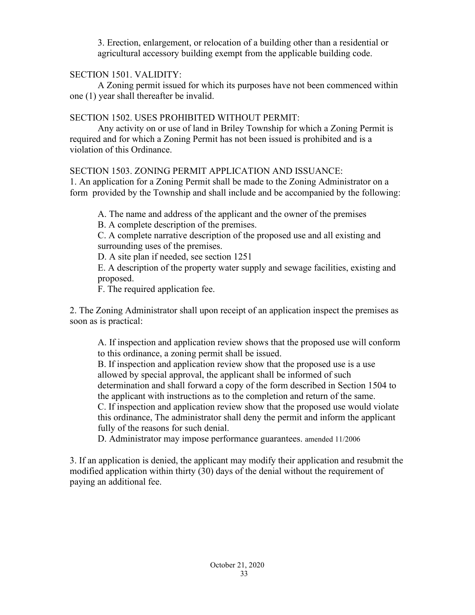3. Erection, enlargement, or relocation of a building other than a residential or agricultural accessory building exempt from the applicable building code.

# SECTION 1501. VALIDITY:

A Zoning permit issued for which its purposes have not been commenced within one (1) year shall thereafter be invalid.

# SECTION 1502. USES PROHIBITED WITHOUT PERMIT:

Any activity on or use of land in Briley Township for which a Zoning Permit is required and for which a Zoning Permit has not been issued is prohibited and is a violation of this Ordinance.

SECTION 1503. ZONING PERMIT APPLICATION AND ISSUANCE:

1. An application for a Zoning Permit shall be made to the Zoning Administrator on a form provided by the Township and shall include and be accompanied by the following:

A. The name and address of the applicant and the owner of the premises

B. A complete description of the premises.

C. A complete narrative description of the proposed use and all existing and surrounding uses of the premises.

D. A site plan if needed, see section 1251

E. A description of the property water supply and sewage facilities, existing and proposed.

F. The required application fee.

2. The Zoning Administrator shall upon receipt of an application inspect the premises as soon as is practical:

A. If inspection and application review shows that the proposed use will conform to this ordinance, a zoning permit shall be issued.

B. If inspection and application review show that the proposed use is a use allowed by special approval, the applicant shall be informed of such determination and shall forward a copy of the form described in Section 1504 to the applicant with instructions as to the completion and return of the same.

C. If inspection and application review show that the proposed use would violate this ordinance, The administrator shall deny the permit and inform the applicant fully of the reasons for such denial.

D. Administrator may impose performance guarantees. amended 11/2006

3. If an application is denied, the applicant may modify their application and resubmit the modified application within thirty (30) days of the denial without the requirement of paying an additional fee.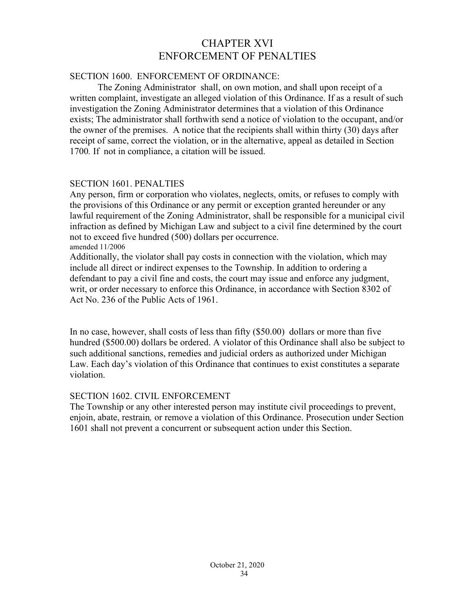# CHAPTER XVI ENFORCEMENT OF PENALTIES

# SECTION 1600. ENFORCEMENT OF ORDINANCE:

The Zoning Administrator shall, on own motion, and shall upon receipt of a written complaint, investigate an alleged violation of this Ordinance. If as a result of such investigation the Zoning Administrator determines that a violation of this Ordinance exists; The administrator shall forthwith send a notice of violation to the occupant, and/or the owner of the premises. A notice that the recipients shall within thirty (30) days after receipt of same, correct the violation, or in the alternative, appeal as detailed in Section 1700*.* If not in compliance, a citation will be issued.

# SECTION 1601. PENALTIES

Any person, firm or corporation who violates, neglects, omits, or refuses to comply with the provisions of this Ordinance or any permit or exception granted hereunder or any lawful requirement of the Zoning Administrator, shall be responsible for a municipal civil infraction as defined by Michigan Law and subject to a civil fine determined by the court not to exceed five hundred (500) dollars per occurrence. amended 11/2006

Additionally, the violator shall pay costs in connection with the violation, which may include all direct or indirect expenses to the Township. In addition to ordering a defendant to pay a civil fine and costs, the court may issue and enforce any judgment, writ, or order necessary to enforce this Ordinance, in accordance with Section 8302 of Act No. 236 of the Public Acts of 1961.

In no case, however, shall costs of less than fifty (\$50.00) dollars or more than five hundred (\$500.00) dollars be ordered. A violator of this Ordinance shall also be subject to such additional sanctions, remedies and judicial orders as authorized under Michigan Law. Each day's violation of this Ordinance that continues to exist constitutes a separate violation.

# SECTION 1602. CIVIL ENFORCEMENT

The Township or any other interested person may institute civil proceedings to prevent, enjoin, abate, restrain*,* or remove a violation of this Ordinance. Prosecution under Section 1601 shall not prevent a concurrent or subsequent action under this Section.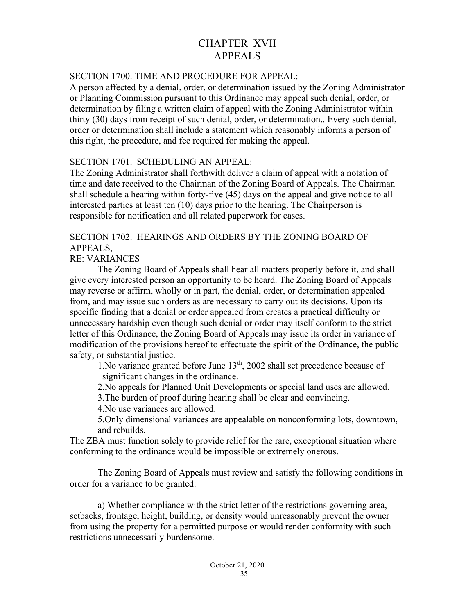# CHAPTER XVII APPEALS

# SECTION 1700. TIME AND PROCEDURE FOR APPEAL:

A person affected by a denial, order, or determination issued by the Zoning Administrator or Planning Commission pursuant to this Ordinance may appeal such denial, order, or determination by filing a written claim of appeal with the Zoning Administrator within thirty (30) days from receipt of such denial, order, or determination.. Every such denial, order or determination shall include a statement which reasonably informs a person of this right, the procedure, and fee required for making the appeal.

# SECTION 1701. SCHEDULING AN APPEAL:

The Zoning Administrator shall forthwith deliver a claim of appeal with a notation of time and date received to the Chairman of the Zoning Board of Appeals. The Chairman shall schedule a hearing within forty-five (45) days on the appeal and give notice to all interested parties at least ten (10) days prior to the hearing. The Chairperson is responsible for notification and all related paperwork for cases.

# SECTION 1702. HEARINGS AND ORDERS BY THE ZONING BOARD OF APPEALS,

# RE: VARIANCES

The Zoning Board of Appeals shall hear all matters properly before it, and shall give every interested person an opportunity to be heard. The Zoning Board of Appeals may reverse or affirm, wholly or in part, the denial, order, or determination appealed from, and may issue such orders as are necessary to carry out its decisions. Upon its specific finding that a denial or order appealed from creates a practical difficulty or unnecessary hardship even though such denial or order may itself conform to the strict letter of this Ordinance, the Zoning Board of Appeals may issue its order in variance of modification of the provisions hereof to effectuate the spirit of the Ordinance, the public safety, or substantial justice.

1. No variance granted before June  $13<sup>th</sup>$ , 2002 shall set precedence because of significant changes in the ordinance.

2.No appeals for Planned Unit Developments or special land uses are allowed.

3.The burden of proof during hearing shall be clear and convincing.

4.No use variances are allowed.

5.Only dimensional variances are appealable on nonconforming lots, downtown, and rebuilds.

The ZBA must function solely to provide relief for the rare, exceptional situation where conforming to the ordinance would be impossible or extremely onerous.

The Zoning Board of Appeals must review and satisfy the following conditions in order for a variance to be granted:

a) Whether compliance with the strict letter of the restrictions governing area, setbacks, frontage, height, building, or density would unreasonably prevent the owner from using the property for a permitted purpose or would render conformity with such restrictions unnecessarily burdensome.